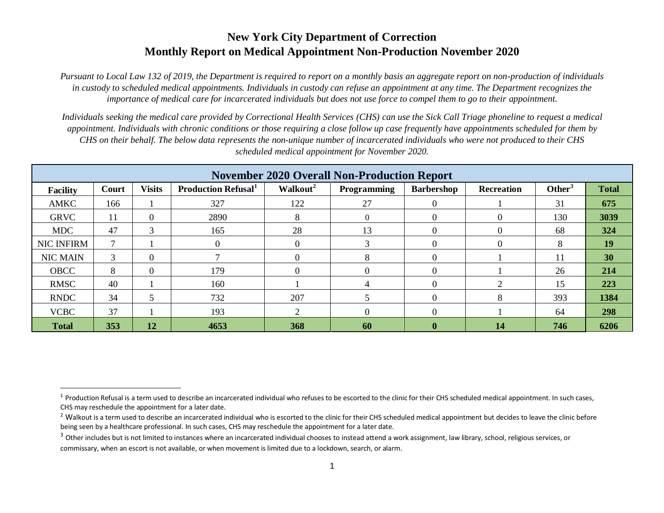## **New York City Department of Correction Monthly Report on Medical Appointment Non-Production November 2020**

*Pursuant to Local Law 132 of 2019, the Department is required to report on a monthly basis an aggregate report on non-production of individuals in custody to scheduled medical appointments. Individuals in custody can refuse an appointment at any time. The Department recognizes the importance of medical care for incarcerated individuals but does not use force to compel them to go to their appointment.*

*Individuals seeking the medical care provided by Correctional Health Services (CHS) can use the Sick Call Triage phoneline to request a medical appointment. Individuals with chronic conditions or those requiring a close follow up case frequently have appointments scheduled for them by CHS on their behalf. The below data represents the non-unique number of incarcerated individuals who were not produced to their CHS scheduled medical appointment for November 2020.*

| <b>November 2020 Overall Non-Production Report</b> |       |                 |                           |                      |                    |                   |                   |                    |              |
|----------------------------------------------------|-------|-----------------|---------------------------|----------------------|--------------------|-------------------|-------------------|--------------------|--------------|
| <b>Facility</b>                                    | Court | <b>Visits</b>   | <b>Production Refusal</b> | Walkout <sup>2</sup> | <b>Programming</b> | <b>Barbershop</b> | <b>Recreation</b> | Other <sup>3</sup> | <b>Total</b> |
| AMKC                                               | 166   |                 | 327                       | 122                  | 27                 |                   |                   | 31                 | 675          |
| <b>GRVC</b>                                        | 11    | 0               | 2890                      | Ō                    | $\theta$           |                   | 0                 | 130                | 3039         |
| <b>MDC</b>                                         | 47    | 3               | 165                       | 28                   | 13                 |                   | $\left($          | 68                 | 324          |
| <b>NIC INFIRM</b>                                  |       |                 | $\Omega$                  |                      | $\mathbf{R}$       |                   | 0                 | 8                  | 19           |
| <b>NIC MAIN</b>                                    | 3     | 0               |                           |                      | 8                  |                   |                   | 11                 | 30           |
| <b>OBCC</b>                                        | 8     | 0               | 179                       |                      | $\Omega$           |                   |                   | 26                 | 214          |
| <b>RMSC</b>                                        | 40    |                 | 160                       |                      |                    |                   |                   | 15                 | 223          |
| <b>RNDC</b>                                        | 34    |                 | 732                       | 207                  |                    |                   | 8                 | 393                | 1384         |
| <b>VCBC</b>                                        | 37    |                 | 193                       | ◠                    | $\Omega$           |                   |                   | 64                 | 298          |
| <b>Total</b>                                       | 353   | $\overline{12}$ | 4653                      | 368                  | 60                 | $\bf{0}$          | 14                | 746                | 6206         |

 $\overline{a}$ 

 $^1$  Production Refusal is a term used to describe an incarcerated individual who refuses to be escorted to the clinic for their CHS scheduled medical appointment. In such cases, CHS may reschedule the appointment for a later date.

<sup>&</sup>lt;sup>2</sup> Walkout is a term used to describe an incarcerated individual who is escorted to the clinic for their CHS scheduled medical appointment but decides to leave the clinic before being seen by a healthcare professional. In such cases, CHS may reschedule the appointment for a later date.

<sup>&</sup>lt;sup>3</sup> Other includes but is not limited to instances where an incarcerated individual chooses to instead attend a work assignment, law library, school, religious services, or commissary, when an escort is not available, or when movement is limited due to a lockdown, search, or alarm.